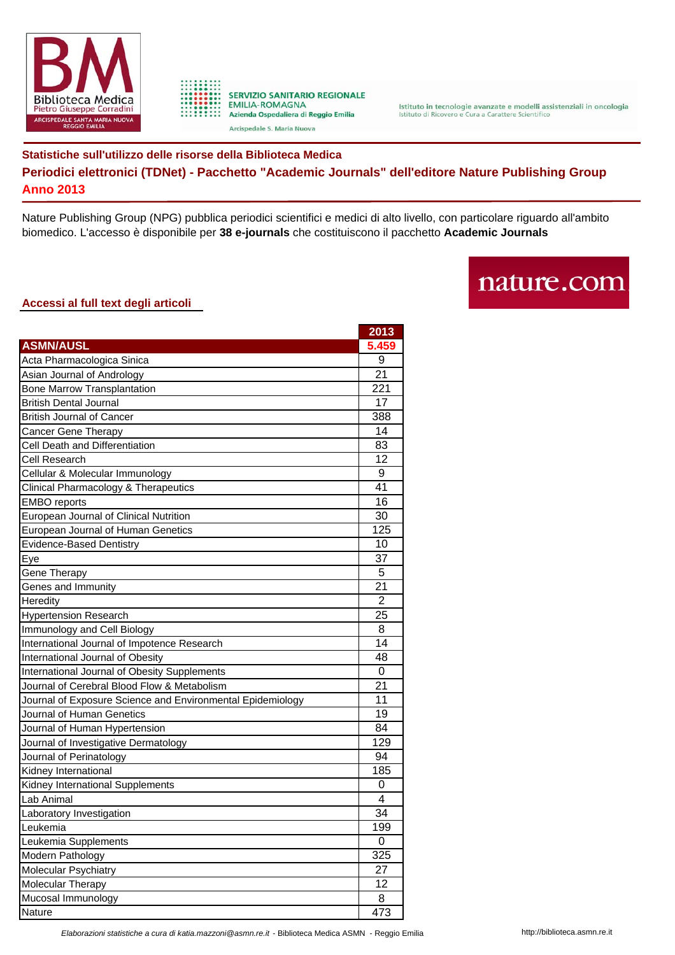



**SERVIZIO SANITARIO REGIONALE EMILIA-ROMAGNA** Azienda Ospedaliera di Reggio Emilia Arcispedale S. Maria Nuova

## **Statistiche sull'utilizzo delle risorse della Biblioteca Medica Periodici elettronici (TDNet) - Pacchetto "Academic Journals" dell'editore Nature Publishing Group Anno 2013**

Nature Publishing Group (NPG) pubblica periodici scientifici e medici di alto livello, con particolare riguardo all'ambito biomedico. L'accesso è disponibile per **38 e-journals** che costituiscono il pacchetto **Academic Journals**

## nature.com

## **Accessi al full text degli articoli**

|                                                            | 2013           |
|------------------------------------------------------------|----------------|
| <b>ASMN/AUSL</b>                                           | 5.459          |
| Acta Pharmacologica Sinica                                 | 9              |
| Asian Journal of Andrology                                 | 21             |
| <b>Bone Marrow Transplantation</b>                         | 221            |
| <b>British Dental Journal</b>                              | 17             |
| <b>British Journal of Cancer</b>                           | 388            |
| Cancer Gene Therapy                                        | 14             |
| Cell Death and Differentiation                             | 83             |
| Cell Research                                              | 12             |
| Cellular & Molecular Immunology                            | 9              |
| Clinical Pharmacology & Therapeutics                       | 41             |
| <b>EMBO</b> reports                                        | 16             |
| European Journal of Clinical Nutrition                     | 30             |
| European Journal of Human Genetics                         | 125            |
| <b>Evidence-Based Dentistry</b>                            | 10             |
| Eye                                                        | 37             |
| Gene Therapy                                               | 5              |
| Genes and Immunity                                         | 21             |
| Heredity                                                   | $\overline{2}$ |
| <b>Hypertension Research</b>                               | 25             |
| Immunology and Cell Biology                                | 8              |
| International Journal of Impotence Research                | 14             |
| International Journal of Obesity                           | 48             |
| International Journal of Obesity Supplements               | 0              |
| Journal of Cerebral Blood Flow & Metabolism                | 21             |
| Journal of Exposure Science and Environmental Epidemiology | 11             |
| Journal of Human Genetics                                  | 19             |
| Journal of Human Hypertension                              | 84             |
| Journal of Investigative Dermatology                       | 129            |
| Journal of Perinatology                                    | 94             |
| Kidney International                                       | 185            |
| Kidney International Supplements                           | 0              |
| Lab Animal                                                 | 4              |
| Laboratory Investigation                                   | 34             |
| Leukemia                                                   | 199            |
| Leukemia Supplements                                       | 0              |
| Modern Pathology                                           | 325            |
| Molecular Psychiatry                                       | 27             |
| Molecular Therapy                                          | 12             |
| Mucosal Immunology                                         | 8              |
| Nature                                                     | 473            |